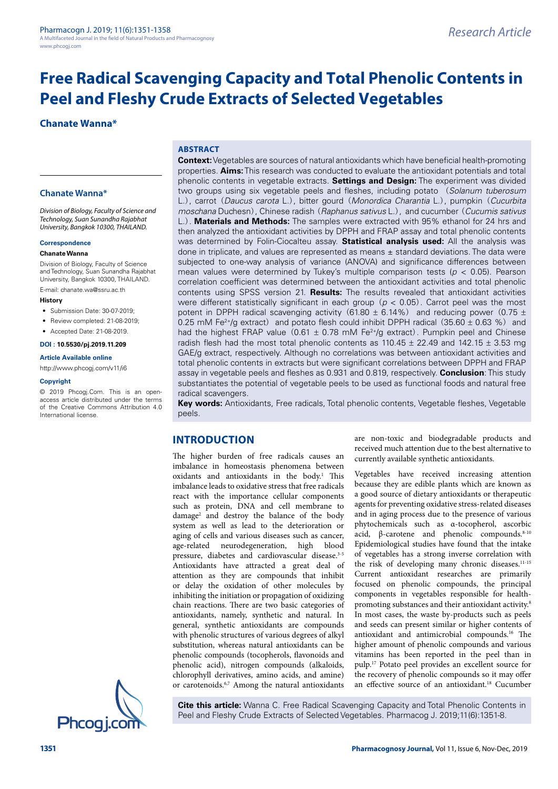# **Chanate Wanna\***

#### **Chanate Wanna\***

*Division of Biology, Faculty of Science and Technology, Suan Sunandha Rajabhat University, Bangkok 10300, THAILAND.*

#### **Correspondence**

#### **Chanate Wanna**

Division of Biology, Faculty of Science and Technology, Suan Sunandha Rajabhat University, Bangkok 10300, THAILAND.

E-mail: chanate.wa@ssru.ac.th

- **History**
- Submission Date: 30-07-2019;
- Review completed: 21-08-2019:
- Accepted Date: 21-08-2019.

#### **DOI : 10.5530/pj.2019.11.209**

**Article Available online** 

<http://www.phcogj.com/v11/i6>

#### **Copyright**

© 2019 Phcogj.Com. This is an openaccess article distributed under the terms of the Creative Commons Attribution 4.0 International license.



**ABSTRACT**

**Context:** Vegetables are sources of natural antioxidants which have beneficial health-promoting properties. **Aims:** This research was conducted to evaluate the antioxidant potentials and total phenolic contents in vegetable extracts. **Settings and Design:** The experiment was divided two groups using six vegetable peels and fleshes, including potato (*Solanum tuberosum* L.), carrot (*Daucus carota* L.), bitter gourd (*Monordica Charantia* L.), pumpkin (*Cucurbita moschana* Duchesn), Chinese radish (*Raphanus sativus* L.), and cucumber (*Cucumis sativus* L.). **Materials and Methods:** The samples were extracted with 95% ethanol for 24 hrs and then analyzed the antioxidant activities by DPPH and FRAP assay and total phenolic contents was determined by Folin-Ciocalteu assay. **Statistical analysis used:** All the analysis was done in triplicate, and values are represented as means  $\pm$  standard deviations. The data were subjected to one-way analysis of variance (ANOVA) and significance differences between mean values were determined by Tukey's multiple comparison tests (*p* < 0.05). Pearson correlation coefficient was determined between the antioxidant activities and total phenolic contents using SPSS version 21. **Results:** The results revealed that antioxidant activities were different statistically significant in each group (*p* < 0.05). Carrot peel was the most potent in DPPH radical scavenging activity (61.80  $\pm$  6.14%) and reducing power (0.75  $\pm$ 0.25 mM Fe<sup>2+</sup>/g extract) and potato flesh could inhibit DPPH radical  $(35.60 \pm 0.63 \%)$  and had the highest FRAP value  $(0.61 \pm 0.78 \text{ mM}$  Fe<sup>2+</sup>/g extract). Pumpkin peel and Chinese radish flesh had the most total phenolic contents as  $110.45 \pm 22.49$  and  $142.15 \pm 3.53$  mg GAE/g extract, respectively. Although no correlations was between antioxidant activities and total phenolic contents in extracts but were significant correlations between DPPH and FRAP assay in vegetable peels and fleshes as 0.931 and 0.819, respectively. **Conclusion**: This study substantiates the potential of vegetable peels to be used as functional foods and natural free radical scavengers.

**Key words:** Antioxidants, Free radicals, Total phenolic contents, Vegetable fleshes, Vegetable peels.

#### **INTRODUCTION**

The higher burden of free radicals causes an imbalance in homeostasis phenomena between oxidants and antioxidants in the body.<sup>1</sup> This imbalance leads to oxidative stress that free radicals react with the importance cellular components such as protein, DNA and cell membrane to damage2 and destroy the balance of the body system as well as lead to the deterioration or aging of cells and various diseases such as cancer, age-related neurodegeneration, high blood pressure, diabetes and cardiovascular disease.3-5 Antioxidants have attracted a great deal of attention as they are compounds that inhibit or delay the oxidation of other molecules by inhibiting the initiation or propagation of oxidizing chain reactions. There are two basic categories of antioxidants, namely, synthetic and natural. In general, synthetic antioxidants are compounds with phenolic structures of various degrees of alkyl substitution, whereas natural antioxidants can be phenolic compounds (tocopherols, flavonoids and phenolic acid), nitrogen compounds (alkaloids, chlorophyll derivatives, amino acids, and amine) or carotenoids.6,7 Among the natural antioxidants are non-toxic and biodegradable products and received much attention due to the best alternative to currently available synthetic antioxidants.

Vegetables have received increasing attention because they are edible plants which are known as a good source of dietary antioxidants or therapeutic agents for preventing oxidative stress-related diseases and in aging process due to the presence of various phytochemicals such as α-tocopherol, ascorbic acid, β-carotene and phenolic compounds.<sup>8-10</sup> Epidemiological studies have found that the intake of vegetables has a strong inverse correlation with the risk of developing many chronic diseases.<sup>11-15</sup> Current antioxidant researches are primarily focused on phenolic compounds, the principal components in vegetables responsible for healthpromoting substances and their antioxidant activity.<sup>8</sup> In most cases, the waste by-products such as peels and seeds can present similar or higher contents of antioxidant and antimicrobial compounds.16 The higher amount of phenolic compounds and various vitamins has been reported in the peel than in pulp.17 Potato peel provides an excellent source for the recovery of phenolic compounds so it may offer an effective source of an antioxidant.18 Cucumber

**Cite this article:** Wanna C. Free Radical Scavenging Capacity and Total Phenolic Contents in Peel and Fleshy Crude Extracts of Selected Vegetables. Pharmacog J. 2019;11(6):1351-8.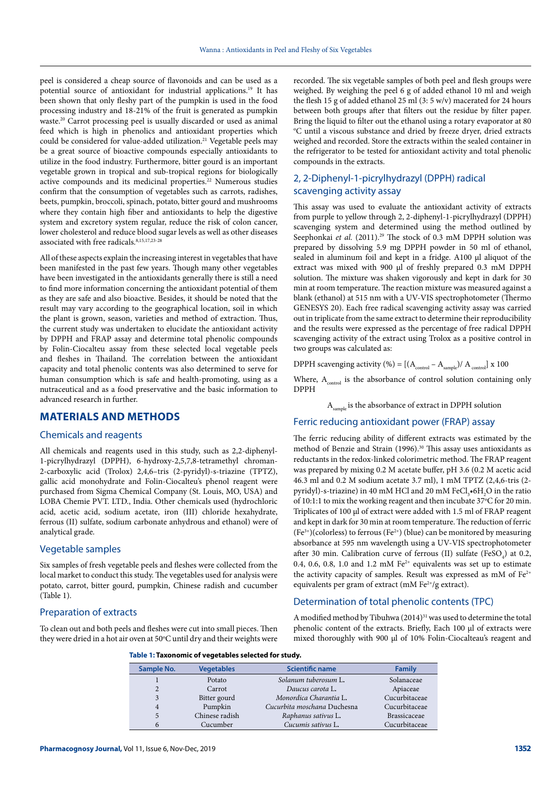peel is considered a cheap source of flavonoids and can be used as a potential source of antioxidant for industrial applications.19 It has been shown that only fleshy part of the pumpkin is used in the food processing industry and 18-21% of the fruit is generated as pumpkin waste.20 Carrot processing peel is usually discarded or used as animal feed which is high in phenolics and antioxidant properties which could be considered for value-added utilization.<sup>21</sup> Vegetable peels may be a great source of bioactive compounds especially antioxidants to utilize in the food industry. Furthermore, bitter gourd is an important vegetable grown in tropical and sub-tropical regions for biologically active compounds and its medicinal properties.<sup>22</sup> Numerous studies confirm that the consumption of vegetables such as carrots, radishes, beets, pumpkin, broccoli, spinach, potato, bitter gourd and mushrooms where they contain high fiber and antioxidants to help the digestive system and excretory system regular, reduce the risk of colon cancer, lower cholesterol and reduce blood sugar levels as well as other diseases associated with free radicals.8,15,17,23-28

All of these aspects explain the increasing interest in vegetables that have been manifested in the past few years. Though many other vegetables have been investigated in the antioxidants generally there is still a need to find more information concerning the antioxidant potential of them as they are safe and also bioactive. Besides, it should be noted that the result may vary according to the geographical location, soil in which the plant is grown, season, varieties and method of extraction. Thus, the current study was undertaken to elucidate the antioxidant activity by DPPH and FRAP assay and determine total phenolic compounds by Folin-Ciocalteu assay from these selected local vegetable peels and fleshes in Thailand. The correlation between the antioxidant capacity and total phenolic contents was also determined to serve for human consumption which is safe and health-promoting, using as a nutraceutical and as a food preservative and the basic information to advanced research in further.

# **MATERIALS AND METHODS**

#### Chemicals and reagents

All chemicals and reagents used in this study, such as 2,2-diphenyl-1-picrylhydrazyl (DPPH), 6-hydroxy-2,5,7,8-tetramethyl chroman-2-carboxylic acid (Trolox) 2,4,6–tris (2-pyridyl)-s-triazine (TPTZ), gallic acid monohydrate and Folin-Ciocalteu's phenol reagent were purchased from Sigma Chemical Company (St. Louis, MO, USA) and LOBA Chemie PVT. LTD., India. Other chemicals used (hydrochloric acid, acetic acid, sodium acetate, iron (III) chloride hexahydrate, ferrous (II) sulfate, sodium carbonate anhydrous and ethanol) were of analytical grade.

#### Vegetable samples

Six samples of fresh vegetable peels and fleshes were collected from the local market to conduct this study. The vegetables used for analysis were potato, carrot, bitter gourd, pumpkin, Chinese radish and cucumber (Table 1).

#### Preparation of extracts

To clean out and both peels and fleshes were cut into small pieces. Then they were dried in a hot air oven at 50°C until dry and their weights were

recorded. The six vegetable samples of both peel and flesh groups were weighed. By weighing the peel 6 g of added ethanol 10 ml and weigh the flesh 15 g of added ethanol 25 ml (3: 5 w/v) macerated for 24 hours between both groups after that filters out the residue by filter paper. Bring the liquid to filter out the ethanol using a rotary evaporator at 80 <sup>o</sup>C until a viscous substance and dried by freeze dryer, dried extracts weighed and recorded. Store the extracts within the sealed container in the refrigerator to be tested for antioxidant activity and total phenolic compounds in the extracts.

# 2, 2-Diphenyl-1-picrylhydrazyl (DPPH) radical scavenging activity assay

This assay was used to evaluate the antioxidant activity of extracts from purple to yellow through 2, 2-diphenyl-1-picrylhydrazyl (DPPH) scavenging system and determined using the method outlined by Seephonkai et al. (2011).<sup>29</sup> The stock of 0.3 mM DPPH solution was prepared by dissolving 5.9 mg DPPH powder in 50 ml of ethanol, sealed in aluminum foil and kept in a fridge. A100 μl aliquot of the extract was mixed with 900 μl of freshly prepared 0.3 mM DPPH solution. The mixture was shaken vigorously and kept in dark for 30 min at room temperature. The reaction mixture was measured against a blank (ethanol) at 515 nm with a UV-VIS spectrophotometer (Thermo GENESYS 20). Each free radical scavenging activity assay was carried out in triplicate from the same extract to determine their reproducibility and the results were expressed as the percentage of free radical DPPH scavenging activity of the extract using Trolox as a positive control in two groups was calculated as:

DPPH scavenging activity (%) =  $[(A_{\text{control}} - A_{\text{sample}})/A_{\text{control}}] \times 100$ 

Where,  $A_{control}$  is the absorbance of control solution containing only DPPH

A<sub>cample</sub> is the absorbance of extract in DPPH solution

#### Ferric reducing antioxidant power (FRAP) assay

The ferric reducing ability of different extracts was estimated by the method of Benzie and Strain (1996).<sup>30</sup> This assay uses antioxidants as reductants in the redox-linked colorimetric method. The FRAP reagent was prepared by mixing 0.2 M acetate buffer, pH 3.6 (0.2 M acetic acid 46.3 ml and 0.2 M sodium acetate 3.7 ml), 1 mM TPTZ (2,4,6-tris (2 pyridyl)-s-triazine) in 40 mM HCl and 20 mM FeCl<sub>3</sub>•6H<sub>2</sub>O in the ratio of  $10:1:1$  to mix the working reagent and then incubate  $37^{\circ}$ C for 20 min. Triplicates of 100 μl of extract were added with 1.5 ml of FRAP reagent and kept in dark for 30 min at room temperature. The reduction of ferric  $(Fe<sup>3+</sup>)(colorless)$  to ferrous  $(Fe<sup>2+</sup>)$  (blue) can be monitored by measuring absorbance at 595 nm wavelength using a UV-VIS spectrophotometer after 30 min. Calibration curve of ferrous (II) sulfate (FeSO<sub>4</sub>) at 0.2, 0.4, 0.6, 0.8, 1.0 and 1.2 mM  $Fe^{2+}$  equivalents was set up to estimate the activity capacity of samples. Result was expressed as mM of  $Fe^{2+}$ equivalents per gram of extract (mM  $Fe^{2+}/g$  extract).

### Determination of total phenolic contents (TPC)

A modified method by Tibuhwa (2014)<sup>31</sup> was used to determine the total phenolic content of the extracts. Briefly, Each 100 μl of extracts were mixed thoroughly with 900 μl of 10% Folin-Ciocalteau's reagent and

#### **Table 1: Taxonomic of vegetables selected for study.**

| Sample No. | <b>Vegetables</b> | <b>Scientific name</b>      | <b>Family</b>       |
|------------|-------------------|-----------------------------|---------------------|
|            | Potato            | Solanum tuberosum L.        | Solanaceae          |
| 2          | Carrot            | Daucus carota L.            | Apiaceae            |
|            | Bitter gourd      | Monordica Charantia L.      | Cucurbitaceae       |
| 4          | Pumpkin           | Cucurbita moschana Duchesna | Cucurbitaceae       |
|            | Chinese radish    | Raphanus sativus L.         | <b>Brassicaceae</b> |
| 6          | Cucumber          | Cucumis sativus L.          | Cucurbitaceae       |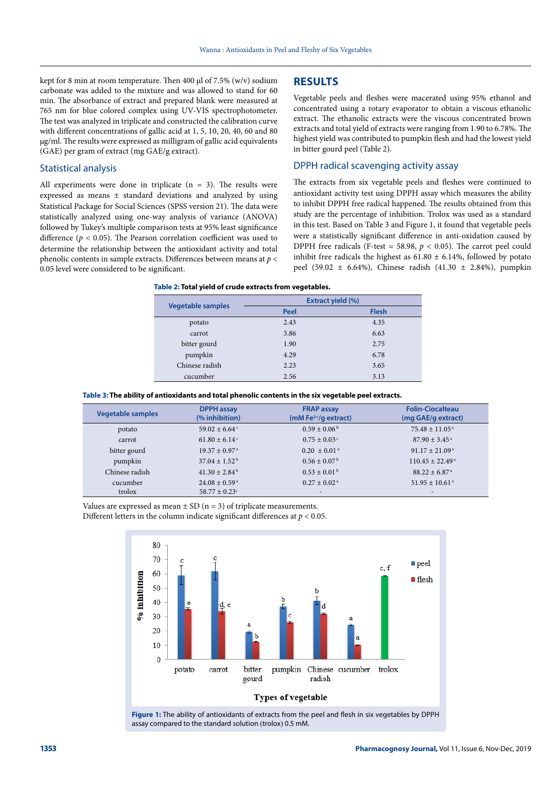kept for 8 min at room temperature. Then 400 μl of 7.5% (w/v) sodium carbonate was added to the mixture and was allowed to stand for 60 min. The absorbance of extract and prepared blank were measured at 765 nm for blue colored complex using UV-VIS spectrophotometer. The test was analyzed in triplicate and constructed the calibration curve with different concentrations of gallic acid at 1, 5, 10, 20, 40, 60 and 80 µg/ml. The results were expressed as milligram of gallic acid equivalents (GAE) per gram of extract (mg GAE/g extract).

#### Statistical analysis

All experiments were done in triplicate  $(n = 3)$ . The results were expressed as means ± standard deviations and analyzed by using Statistical Package for Social Sciences (SPSS version 21). The data were statistically analyzed using one-way analysis of variance (ANOVA) followed by Tukey's multiple comparison tests at 95% least significance difference ( $p < 0.05$ ). The Pearson correlation coefficient was used to determine the relationship between the antioxidant activity and total phenolic contents in sample extracts. Differences between means at *p* < 0.05 level were considered to be significant.

#### **RESULTS**

Vegetable peels and fleshes were macerated using 95% ethanol and concentrated using a rotary evaporator to obtain a viscous ethanolic extract. The ethanolic extracts were the viscous concentrated brown extracts and total yield of extracts were ranging from 1.90 to 6.78%. The highest yield was contributed to pumpkin flesh and had the lowest yield in bitter gourd peel (Table 2).

#### DPPH radical scavenging activity assay

The extracts from six vegetable peels and fleshes were continued to antioxidant activity test using DPPH assay which measures the ability to inhibit DPPH free radical happened. The results obtained from this study are the percentage of inhibition. Trolox was used as a standard in this test. Based on Table 3 and Figure 1, it found that vegetable peels were a statistically significant difference in anti-oxidation caused by DPPH free radicals (F-test = 58.98,  $p < 0.05$ ). The carrot peel could inhibit free radicals the highest as  $61.80 \pm 6.14$ %, followed by potato peel (59.02  $\pm$  6.64%), Chinese radish (41.30  $\pm$  2.84%), pumpkin

| Table 2: Total yield of crude extracts from vegetables. |  |  |  |  |  |
|---------------------------------------------------------|--|--|--|--|--|
|---------------------------------------------------------|--|--|--|--|--|

| <b>Vegetable samples</b> | <b>Extract yield (%)</b> |              |  |
|--------------------------|--------------------------|--------------|--|
|                          | Peel                     | <b>Flesh</b> |  |
| potato                   | 2.43                     | 4.35         |  |
| carrot                   | 3.86                     | 6.63         |  |
| bitter gourd             | 1.90                     | 2.75         |  |
| pumpkin                  | 4.29                     | 6.78         |  |
| Chinese radish           | 2.23                     | 3.65         |  |
| cucumber                 | 2.56                     | 3.13         |  |

**Table 3: The ability of antioxidants and total phenolic contents in the six vegetable peel extracts.**

| <b>Vegetable samples</b> | <b>DPPH</b> assay<br>(% inhibition) | <b>FRAP assay</b><br>$(mM Fe2+/g$ extract) | <b>Folin-Ciocalteau</b><br>(mg GAE/g extract) |
|--------------------------|-------------------------------------|--------------------------------------------|-----------------------------------------------|
| potato                   | $59.02 \pm 6.64$ <sup>c</sup>       | $0.59 \pm 0.06^{\mathrm{b}}$               | $75.48 \pm 11.05^{\text{a}}$                  |
| carrot                   | $61.80 \pm 6.14$ <sup>c</sup>       | $0.75 \pm 0.03$ <sup>c</sup>               | $87.90 \pm 3.45$ <sup>a</sup>                 |
| bitter gourd             | $19.37 \pm 0.97$ <sup>a</sup>       | $0.20 \pm 0.01$ <sup>a</sup>               | $91.17 \pm 21.09^{\text{a}}$                  |
| pumpkin                  | $37.04 \pm 1.52^{\mathrm{b}}$       | $0.56 \pm 0.07^{\mathrm{b}}$               | $110.45 \pm 22.49$ <sup>a</sup>               |
| Chinese radish           | $41.30 \pm 2.84^{\mathrm{b}}$       | $0.53 \pm 0.01^{\mathrm{b}}$               | $88.22 + 6.87$ <sup>a</sup>                   |
| cucumber                 | $24.08 \pm 0.59$ <sup>a</sup>       | $0.27 \pm 0.02$ <sup>a</sup>               | $51.95 \pm 10.61^{\text{ a}}$                 |
| trolox                   | $58.77 + 0.23^{\circ}$              | $\overline{\phantom{0}}$                   | $\overline{\phantom{0}}$                      |

Values are expressed as mean  $\pm$  SD (n = 3) of triplicate measurements. Different letters in the column indicate significant differences at  $p < 0.05$ .



**Figure 1:** The ability of antioxidants of extracts from the peel and flesh in six vegetables by DPPH assay compared to the standard solution (trolox) 0.5 mM.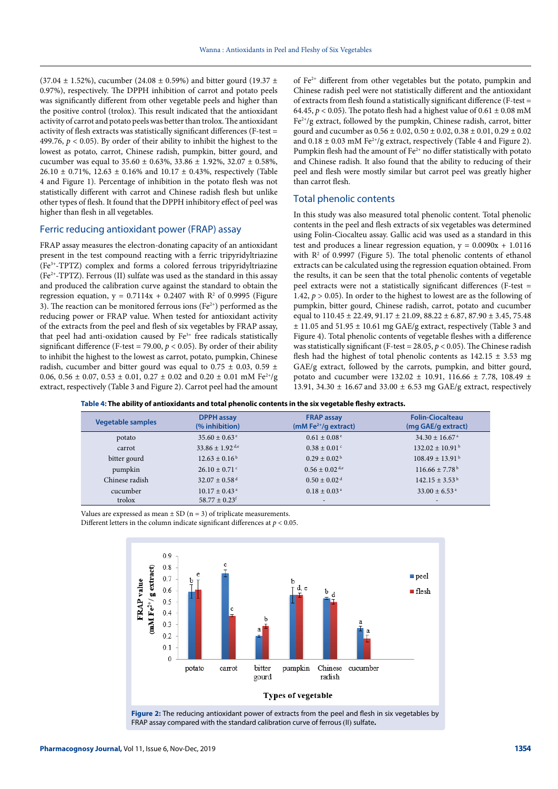$(37.04 \pm 1.52\%)$ , cucumber  $(24.08 \pm 0.59\%)$  and bitter gourd  $(19.37 \pm 0.59\%)$ 0.97%), respectively. The DPPH inhibition of carrot and potato peels was significantly different from other vegetable peels and higher than the positive control (trolox). This result indicated that the antioxidant activity of carrot and potato peels was better than trolox. The antioxidant activity of flesh extracts was statistically significant differences (F-test = 499.76,  $p < 0.05$ ). By order of their ability to inhibit the highest to the lowest as potato, carrot, Chinese radish, pumpkin, bitter gourd, and cucumber was equal to  $35.60 \pm 0.63\%$ ,  $33.86 \pm 1.92\%$ ,  $32.07 \pm 0.58\%$ ,  $26.10 \pm 0.71\%$ ,  $12.63 \pm 0.16\%$  and  $10.17 \pm 0.43\%$ , respectively (Table 4 and Figure 1). Percentage of inhibition in the potato flesh was not statistically different with carrot and Chinese radish flesh but unlike other types of flesh. It found that the DPPH inhibitory effect of peel was higher than flesh in all vegetables.

#### Ferric reducing antioxidant power (FRAP) assay

FRAP assay measures the electron-donating capacity of an antioxidant present in the test compound reacting with a ferric tripyridyltriazine (Fe3+-TPTZ) complex and forms a colored ferrous tripyridyltriazine (Fe<sup>2+</sup>-TPTZ). Ferrous (II) sulfate was used as the standard in this assay and produced the calibration curve against the standard to obtain the regression equation,  $y = 0.7114x + 0.2407$  with  $R<sup>2</sup>$  of 0.9995 (Figure 3). The reaction can be monitored ferrous ions (Fe<sup>2+</sup>) performed as the reducing power or FRAP value. When tested for antioxidant activity of the extracts from the peel and flesh of six vegetables by FRAP assay, that peel had anti-oxidation caused by Fe<sup>3+</sup> free radicals statistically significant difference (F-test = 79.00,  $p < 0.05$ ). By order of their ability to inhibit the highest to the lowest as carrot, potato, pumpkin, Chinese radish, cucumber and bitter gourd was equal to 0.75  $\pm$  0.03, 0.59  $\pm$ 0.06, 0.56  $\pm$  0.07, 0.53  $\pm$  0.01, 0.27  $\pm$  0.02 and 0.20  $\pm$  0.01 mM Fe<sup>2+</sup>/g extract, respectively (Table 3 and Figure 2). Carrot peel had the amount

of  $Fe<sup>2+</sup>$  different from other vegetables but the potato, pumpkin and Chinese radish peel were not statistically different and the antioxidant of extracts from flesh found a statistically significant difference (F-test = 64.45,  $p < 0.05$ ). The potato flesh had a highest value of  $0.61 \pm 0.08$  mM  $Fe<sup>2+</sup>/g$  extract, followed by the pumpkin, Chinese radish, carrot, bitter gourd and cucumber as  $0.56 \pm 0.02$ ,  $0.50 \pm 0.02$ ,  $0.38 \pm 0.01$ ,  $0.29 \pm 0.02$ and  $0.18 \pm 0.03$  mM Fe<sup>2+</sup>/g extract, respectively (Table 4 and Figure 2). Pumpkin flesh had the amount of Fe<sup>2+</sup> no differ statistically with potato and Chinese radish. It also found that the ability to reducing of their peel and flesh were mostly similar but carrot peel was greatly higher than carrot flesh.

#### Total phenolic contents

In this study was also measured total phenolic content. Total phenolic contents in the peel and flesh extracts of six vegetables was determined using Folin-Ciocalteu assay. Gallic acid was used as a standard in this test and produces a linear regression equation,  $y = 0.0090x + 1.0116$ with  $\mathbb{R}^2$  of 0.9997 (Figure 5). The total phenolic contents of ethanol extracts can be calculated using the regression equation obtained. From the results, it can be seen that the total phenolic contents of vegetable peel extracts were not a statistically significant differences (F-test = 1.42,  $p > 0.05$ ). In order to the highest to lowest are as the following of pumpkin, bitter gourd, Chinese radish, carrot, potato and cucumber equal to  $110.45 \pm 22.49$ ,  $91.17 \pm 21.09$ ,  $88.22 \pm 6.87$ ,  $87.90 \pm 3.45$ ,  $75.48$  $\pm$  11.05 and 51.95  $\pm$  10.61 mg GAE/g extract, respectively (Table 3 and Figure 4). Total phenolic contents of vegetable fleshes with a difference was statistically significant (F-test = 28.05, *p* < 0.05). The Chinese radish flesh had the highest of total phenolic contents as  $142.15 \pm 3.53$  mg GAE/g extract, followed by the carrots, pumpkin, and bitter gourd, potato and cucumber were  $132.02 \pm 10.91$ ,  $116.66 \pm 7.78$ ,  $108.49 \pm 10.91$ 13.91, 34.30  $\pm$  16.67 and 33.00  $\pm$  6.53 mg GAE/g extract, respectively

**Table 4: The ability of antioxidants and total phenolic contents in the six vegetable fleshy extracts.**

| <b>Vegetable samples</b> | <b>DPPH</b> assay<br>(% inhibition) | <b>FRAP assay</b><br>(mM Fe $2+$ /g extract) | <b>Folin-Ciocalteau</b><br>(mg GAE/g extract) |
|--------------------------|-------------------------------------|----------------------------------------------|-----------------------------------------------|
| potato                   | $35.60 \pm 0.63$ <sup>e</sup>       | $0.61 \pm 0.08$ <sup>e</sup>                 | $34.30 \pm 16.67$ <sup>a</sup>                |
| carrot                   | $33.86 \pm 1.92$ d,e                | $0.38 \pm 0.01$ <sup>c</sup>                 | $132.02 \pm 10.91^{\mathrm{b}}$               |
| bitter gourd             | $12.63 \pm 0.16^{\circ}$            | $0.29 \pm 0.02^{\mathrm{b}}$                 | $108.49 \pm 13.91^{\mathrm{b}}$               |
| pumpkin                  | $26.10 \pm 0.71$ <sup>c</sup>       | $0.56 \pm 0.02$ <sup>d,e</sup>               | $116.66 \pm 7.78$ <sup>b</sup>                |
| Chinese radish           | $32.07 \pm 0.58$ <sup>d</sup>       | $0.50 \pm 0.02$ <sup>d</sup>                 | $142.15 \pm 3.53^{\mathrm{b}}$                |
| cucumber                 | $10.17 \pm 0.43$ <sup>a</sup>       | $0.18 \pm 0.03$ <sup>a</sup>                 | $33.00 \pm 6.53$ <sup>a</sup>                 |
| trolox                   | $58.77 \pm 0.23$ <sup>f</sup>       | $\overline{\phantom{a}}$                     |                                               |

Values are expressed as mean  $\pm$  SD (n = 3) of triplicate measurements. Different letters in the column indicate significant differences at  $p < 0.05$ .

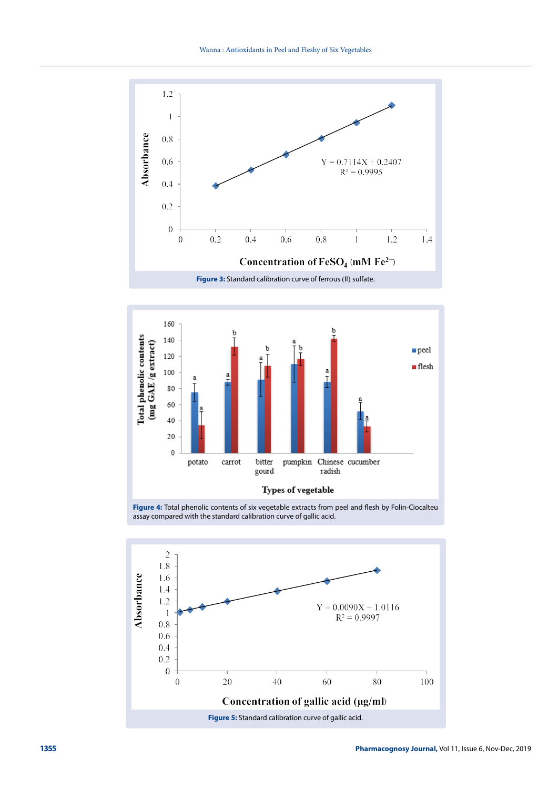



**Figure 4:** Total phenolic contents of six vegetable extracts from peel and flesh by Folin-Ciocalteu assay compared with the standard calibration curve of gallic acid.

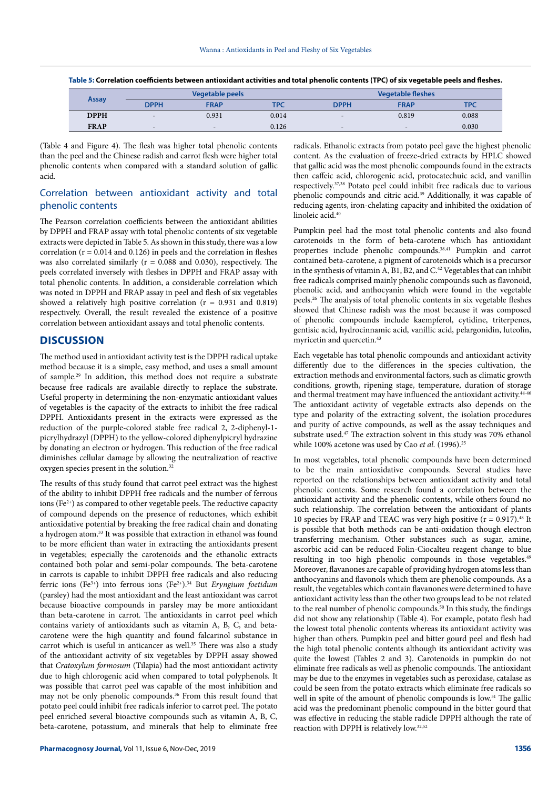| Assay       | <b>Vegetable peels</b>   |                              |            | <b>Vegetable fleshes</b>     |                          |            |
|-------------|--------------------------|------------------------------|------------|------------------------------|--------------------------|------------|
|             | <b>DPPH</b>              | <b>FRAP</b>                  | <b>TPC</b> | <b>DPPH</b>                  | <b>FRAP</b>              | <b>TPC</b> |
| <b>DPPH</b> | $\overline{\phantom{0}}$ | 0.931                        | 0.014      | $\overline{\phantom{a}}$     | 0.819                    | 0.088      |
| <b>FRAP</b> | $\overline{\phantom{a}}$ | $\qquad \qquad \blacksquare$ | 0.126      | $\qquad \qquad \blacksquare$ | $\overline{\phantom{a}}$ | 0.030      |

**Table 5: Correlation coefficients between antioxidant activities and total phenolic contents (TPC) of six vegetable peels and fleshes.**

(Table 4 and Figure 4). The flesh was higher total phenolic contents than the peel and the Chinese radish and carrot flesh were higher total phenolic contents when compared with a standard solution of gallic acid.

#### Correlation between antioxidant activity and total phenolic contents

The Pearson correlation coefficients between the antioxidant abilities by DPPH and FRAP assay with total phenolic contents of six vegetable extracts were depicted in Table 5. As shown in this study, there was a low correlation ( $r = 0.014$  and 0.126) in peels and the correlation in fleshes was also correlated similarly ( $r = 0.088$  and 0.030), respectively. The peels correlated inversely with fleshes in DPPH and FRAP assay with total phenolic contents. In addition, a considerable correlation which was noted in DPPH and FRAP assay in peel and flesh of six vegetables showed a relatively high positive correlation ( $r = 0.931$  and  $0.819$ ) respectively. Overall, the result revealed the existence of a positive correlation between antioxidant assays and total phenolic contents.

#### **DISCUSSION**

The method used in antioxidant activity test is the DPPH radical uptake method because it is a simple, easy method, and uses a small amount of sample.29 In addition, this method does not require a substrate because free radicals are available directly to replace the substrate. Useful property in determining the non-enzymatic antioxidant values of vegetables is the capacity of the extracts to inhibit the free radical DPPH. Antioxidants present in the extracts were expressed as the reduction of the purple-colored stable free radical 2, 2-diphenyl-1 picrylhydrazyl (DPPH) to the yellow-colored diphenylpicryl hydrazine by donating an electron or hydrogen. This reduction of the free radical diminishes cellular damage by allowing the neutralization of reactive oxygen species present in the solution.<sup>32</sup>

The results of this study found that carrot peel extract was the highest of the ability to inhibit DPPH free radicals and the number of ferrous ions ( $Fe<sup>2+</sup>$ ) as compared to other vegetable peels. The reductive capacity of compound depends on the presence of reductones, which exhibit antioxidative potential by breaking the free radical chain and donating a hydrogen atom.33 It was possible that extraction in ethanol was found to be more efficient than water in extracting the antioxidants present in vegetables; especially the carotenoids and the ethanolic extracts contained both polar and semi-polar compounds. The beta-carotene in carrots is capable to inhibit DPPH free radicals and also reducing ferric ions (Fe3+) into ferrous ions (Fe2+).34 But *Eryngium foetidum* (parsley) had the most antioxidant and the least antioxidant was carrot because bioactive compounds in parsley may be more antioxidant than beta-carotene in carrot. The antioxidants in carrot peel which contains variety of antioxidants such as vitamin A, B, C, and betacarotene were the high quantity and found falcarinol substance in carrot which is useful in anticancer as well.<sup>35</sup> There was also a study of the antioxidant activity of six vegetables by DPPH assay showed that *Cratoxylum formosum* (Tilapia) had the most antioxidant activity due to high chlorogenic acid when compared to total polyphenols. It was possible that carrot peel was capable of the most inhibition and may not be only phenolic compounds.36 From this result found that potato peel could inhibit free radicals inferior to carrot peel. The potato peel enriched several bioactive compounds such as vitamin A, B, C, beta-carotene, potassium, and minerals that help to eliminate free radicals. Ethanolic extracts from potato peel gave the highest phenolic content. As the evaluation of freeze-dried extracts by HPLC showed that gallic acid was the most phenolic compounds found in the extracts then caffeic acid, chlorogenic acid, protocatechuic acid, and vanillin respectively.37,38 Potato peel could inhibit free radicals due to various phenolic compounds and citric acid.39 Additionally, it was capable of reducing agents, iron-chelating capacity and inhibited the oxidation of linoleic acid.40

Pumpkin peel had the most total phenolic contents and also found carotenoids in the form of beta-carotene which has antioxidant properties include phenolic compounds.38,41 Pumpkin and carrot contained beta-carotene, a pigment of carotenoids which is a precursor in the synthesis of vitamin A, B1, B2, and  $C<sup>42</sup>$  Vegetables that can inhibit free radicals comprised mainly phenolic compounds such as flavonoid, phenolic acid, and anthocyanin which were found in the vegetable peels.26 The analysis of total phenolic contents in six vegetable fleshes showed that Chinese radish was the most because it was composed of phenolic compounds include kaempferol, cytidine, triterpenes, gentisic acid, hydrocinnamic acid, vanillic acid, pelargonidin, luteolin, myricetin and quercetin.43

Each vegetable has total phenolic compounds and antioxidant activity differently due to the differences in the species cultivation, the extraction methods and environmental factors, such as climatic growth conditions, growth, ripening stage, temperature, duration of storage and thermal treatment may have influenced the antioxidant activity.<sup>44-46</sup> The antioxidant activity of vegetable extracts also depends on the type and polarity of the extracting solvent, the isolation procedures and purity of active compounds, as well as the assay techniques and substrate used.47 The extraction solvent in this study was 70% ethanol while 100% acetone was used by Cao et al. (1996).<sup>25</sup>

In most vegetables, total phenolic compounds have been determined to be the main antioxidative compounds. Several studies have reported on the relationships between antioxidant activity and total phenolic contents. Some research found a correlation between the antioxidant activity and the phenolic contents, while others found no such relationship. The correlation between the antioxidant of plants 10 species by FRAP and TEAC was very high positive  $(r = 0.917)$ .<sup>48</sup> It is possible that both methods can be anti-oxidation though electron transferring mechanism. Other substances such as sugar, amine, ascorbic acid can be reduced Folin-Ciocalteu reagent change to blue resulting in too high phenolic compounds in those vegetables.<sup>49</sup> Moreover, flavanones are capable of providing hydrogen atoms less than anthocyanins and flavonols which them are phenolic compounds. As a result, the vegetables which contain flavanones were determined to have antioxidant activity less than the other two groups lead to be not related to the real number of phenolic compounds.<sup>50</sup> In this study, the findings did not show any relationship (Table 4). For example, potato flesh had the lowest total phenolic contents whereas its antioxidant activity was higher than others. Pumpkin peel and bitter gourd peel and flesh had the high total phenolic contents although its antioxidant activity was quite the lowest (Tables 2 and 3). Carotenoids in pumpkin do not eliminate free radicals as well as phenolic compounds. The antioxidant may be due to the enzymes in vegetables such as peroxidase, catalase as could be seen from the potato extracts which eliminate free radicals so well in spite of the amount of phenolic compounds is low.<sup>51</sup> The gallic acid was the predominant phenolic compound in the bitter gourd that was effective in reducing the stable radicle DPPH although the rate of reaction with DPPH is relatively low.32,52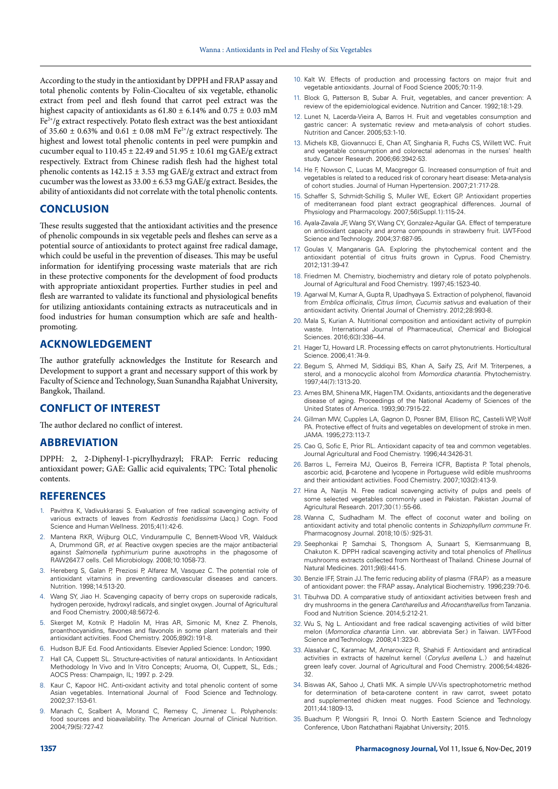According to the study in the antioxidant by DPPH and FRAP assay and total phenolic contents by Folin-Ciocalteu of six vegetable, ethanolic extract from peel and flesh found that carrot peel extract was the highest capacity of antioxidants as  $61.80 \pm 6.14\%$  and  $0.75 \pm 0.03$  mM  $Fe<sup>2+</sup>/g$  extract respectively. Potato flesh extract was the best antioxidant of 35.60  $\pm$  0.63% and 0.61  $\pm$  0.08 mM Fe<sup>2+</sup>/g extract respectively. The highest and lowest total phenolic contents in peel were pumpkin and cucumber equal to  $110.45 \pm 22.49$  and  $51.95 \pm 10.61$  mg GAE/g extract respectively. Extract from Chinese radish flesh had the highest total phenolic contents as 142.15 ± 3.53 mg GAE/g extract and extract from cucumber was the lowest as  $33.00 \pm 6.53$  mg GAE/g extract. Besides, the ability of antioxidants did not correlate with the total phenolic contents.

#### **CONCLUSION**

These results suggested that the antioxidant activities and the presence of phenolic compounds in six vegetable peels and fleshes can serve as a potential source of antioxidants to protect against free radical damage, which could be useful in the prevention of diseases. This may be useful information for identifying processing waste materials that are rich in these protective components for the development of food products with appropriate antioxidant properties. Further studies in peel and flesh are warranted to validate its functional and physiological benefits for utilizing antioxidants containing extracts as nutraceuticals and in food industries for human consumption which are safe and healthpromoting.

#### **ACKNOWLEDGEMENT**

The author gratefully acknowledges the Institute for Research and Development to support a grant and necessary support of this work by Faculty of Science and Technology, Suan Sunandha Rajabhat University, Bangkok, Thailand.

#### **CONFLICT OF INTEREST**

The author declared no conflict of interest.

#### **ABBREVIATION**

DPPH: 2, 2-Diphenyl-1-picrylhydrazyl; FRAP: Ferric reducing antioxidant power; GAE: Gallic acid equivalents; TPC: Total phenolic contents.

#### **REFERENCES**

- 1. Pavithra K, Vadivukkarasi S. Evaluation of free radical scavenging activity of various extracts of leaves from *Kedrostis foetidissima* (Jacq.) Cogn. Food Science and Human Wellness. 2015;4(1):42-6.
- 2. Mantena RKR, Wijburg OLC, Vindurampulle C, Bennett-Wood VR, Walduck A, Drummond GR, *et al*. Reactive oxygen species are the major antibacterial against *Salmonella typhimurium* purine auxotrophs in the phagosome of RAW2647.7 cells. Cell Microbiology. 2008;10:1058-73.
- 3. Hereberg S, Galan P, Preziosi P, Alfarez M, Vasquez C. The potential role of antioxidant vitamins in preventing cardiovascular diseases and cancers. Nutrition. 1998;14:513-20.
- 4. Wang SY, Jiao H. Scavenging capacity of berry crops on superoxide radicals, hydrogen peroxide, hydroxyl radicals, and singlet oxygen. Journal of Agricultural and Food Chemistry. 2000;48:5672-6.
- 5. Skerget M, Kotnik P, Hadolin M, Hras AR, Simonic M, Knez Z. Phenols, proanthocyanidins, flavones and flavonols in some plant materials and their antioxidant activities. Food Chemistry. 2005;89(2):191-8.
- 6. Hudson BJF. Ed. Food Antioxidants. Elsevier Applied Science: London; 1990.
- Hall CA, Cuppett SL. Structure-activities of natural antioxidants. In Antioxidant Methodology In Vivo and In Vitro Concepts; Aruoma, OI, Cuppett, SL, Eds.; AOCS Press: Champaign, IL; 1997. p. 2-29.
- 8. Kaur C, Kapoor HC. Anti-oxidant activity and total phenolic content of some Asian vegetables. International Journal of Food Science and Technology. 2002;37:153-61.
- 9. Manach C, Scalbert A, Morand C, Remesy C, Jimenez L. Polyphenols: food sources and bioavailability. The American Journal of Clinical Nutrition. 2004;79(5):727-47.
- 10. Kalt W. Effects of production and processing factors on major fruit and vegetable antioxidants. Journal of Food Science 2005;70:11-9.
- 11. Block G, Patterson B, Subar A. Fruit, vegetables, and cancer prevention: A review of the epidemiological evidence. Nutrition and Cancer. 1992;18:1-29.
- 12. Lunet N, Lacerda-Vieira A, Barros H. Fruit and vegetables consumption and gastric cancer: A systematic review and meta-analysis of cohort studies. Nutrition and Cancer. 2005;53:1-10.
- 13. Michels KB, Giovannucci E, Chan AT, Singhania R, Fuchs CS, Willett WC. Fruit and vegetable consumption and colorectal adenomas in the nurses' health study. Cancer Research. 2006;66:3942-53.
- 14. He F, Nowson C, Lucas M, Macgregor G. Increased consumption of fruit and vegetables is related to a reduced risk of coronary heart disease: Meta-analysis of cohort studies. Journal of Human Hypertension. 2007;21:717-28.
- 15. Schaffer S, Schmidt-Schillig S, Muller WE, Eckert GP. Antioxidant properties of mediterranean food plant extract geographical differences. Journal of Physiology and Pharmacology. 2007;56(Suppl.1):115-24.
- 16. Ayala-Zavala JF, Wang SY, Wang CY, Gonzalez-Aguilar GA. Effect of temperature on antioxidant capacity and aroma compounds in strawberry fruit. LWT-Food Science and Technology. 2004;37:687-95.
- 17. Goulas V, Manganaris GA. Exploring the phytochemical content and the antioxidant potential of citrus fruits grown in Cyprus. Food Chemistry. 2012;131:39-47.
- 18. Friedmen M. Chemistry, biochemistry and dietary role of potato polyphenols. Journal of Agricultural and Food Chemistry. 1997;45:1523-40.
- 19. Agarwal M, Kumar A, Gupta R, Upadhyaya S. Extraction of polyphenol, flavanoid from *Emblica officinalis*, *Citrus limon*, *Cucumis sativus* and evaluation of their antioxidant activity. Oriental Journal of Chemistry. 2012;28:993-8.
- 20. Mala S, Kurian A. Nutritional composition and antioxidant activity of pumpkin waste. International Journal of Pharmaceutical, *Chemical* and Biological Sciences. 2016;6(3):336–44.
- 21. Hager TJ, Howard LR. Processing effects on carrot phytonutrients. Horticultural Science. 2006;41:74-9.
- 22. Begum S, Ahmed M, Siddiqui BS, Khan A, Saify ZS, Arif M. Triterpenes, a sterol, and a monocyclic alcohol from *Momordica charantia*. Phytochemistry. 1997;44(7):1313-20.
- 23. Ames BM, Shinena MK, Hagen TM. Oxidants, antioxidants and the degenerative disease of aging. Proceedings of the National Academy of Sciences of the United States of America. 1993;90:7915-22.
- 24. Gillman MW, Cupples LA, Gagnon D, Posner BM, Ellison RC, Castelli WP, Wolf PA. Protective effect of fruits and vegetables on development of stroke in men. JAMA. 1995;273:113-7.
- 25. Cao G, Sofic E, Prior RL. Antioxidant capacity of tea and common vegetables. Journal Agricultural and Food Chemistry. 1996;44:3426-31.
- 26. Barros L, Ferreira MJ, Queiros B, Ferreira ICFR, Baptista P. Total phenols, ascorbic acid, β-carotene and lycopene in Portuguese wild edible mushrooms and their antioxidant activities. Food Chemistry. 2007;103(2):413-9.
- 27. Hina A, Narjis N. Free radical scavenging activity of pulps and peels of some selected vegetables commonly used in Pakistan. Pakistan Journal of Agricultural Research. 2017;30(1):55-66.
- 28. Wanna C, Sudhadham M. The effect of coconut water and boiling on antioxidant activity and total phenolic contents in *Schizophyllum commune* Fr. Pharmacognosy Journal. 2018;10(5):925-31.
- 29. Seephonkai P, Samchai S, Thongsom A, Sunaart S, Kiemsanmuang B, Chakuton K. DPPH radical scavenging activity and total phenolics of *Phellinus* mushrooms extracts collected from Northeast of Thailand. Chinese Journal of Natural Medicines. 2011;9(6):441-5.
- 30. Benzie IFF, Strain JJ. The ferric reducing ability of plasma (FRAP) as a measure of antioxidant power: the FRAP assay**.** Analytical Biochemistry. 1996;239:70-6.
- 31. Tibuhwa DD. A comparative study of antioxidant activities between fresh and dry mushrooms in the genera *Cantharellus* and *Afrocantharellus* from Tanzania. Food and Nutrition Science. 2014;5:212-21.
- 32. Wu S, Ng L. Antioxidant and free radical scavenging activities of wild bitter melon (*Momordica charantia* Linn. var. abbreviata Ser.) in Taiwan. LWT-Food Science and Technology. 2008;41:323-0.
- 33. Alasalvar C, Karamac M, Amarowicz R, Shahidi F. Antioxidant and antiradical activities in extracts of hazelnut kernel (*Corylus avellena* L.) and hazelnut green leafy cover. Journal of Agricultural and Food Chemistry. 2006;54:4826- 32.
- 34. Biswas AK, Sahoo J, Chatli MK. A simple UV-Vis spectrophotometric method for determination of beta-carotene content in raw carrot, sweet potato and supplemented chicken meat nugges. Food Science and Technology. 2011;44:1809-13**.**
- 35. Buachum P, Wongsiri R, Innoi O. North Eastern Science and Technology Conference, Ubon Ratchathani Rajabhat University; 2015.